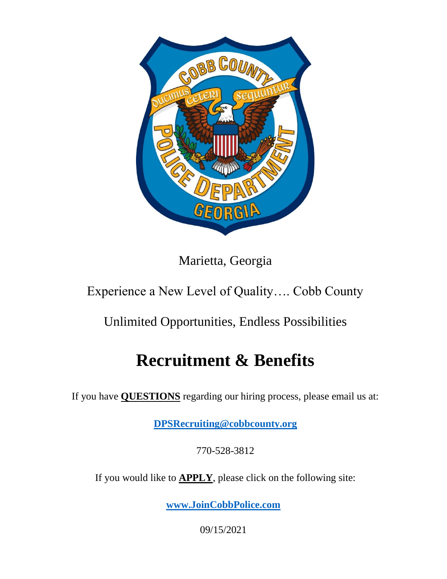

Marietta, Georgia

# Experience a New Level of Quality…. Cobb County

# Unlimited Opportunities, Endless Possibilities

# **Recruitment & Benefits**

If you have **QUESTIONS** regarding our hiring process, please email us at:

**[DPSRecruiting@cobbcounty.org](mailto:DPSRecruiting@cobbcounty.org)**

770-528-3812

If you would like to **APPLY**, please click on the following site:

**[www.JoinCobbPolice.com](http://www.joincobbpolice.com/)**

09/15/2021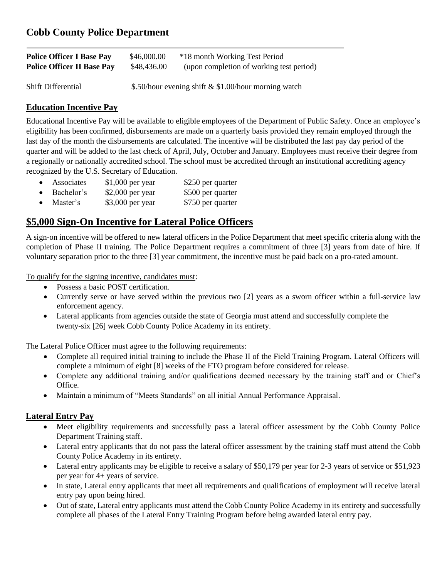| <b>Police Officer I Base Pay</b>  | \$46,000.00                                          | *18 month Working Test Period            |
|-----------------------------------|------------------------------------------------------|------------------------------------------|
| <b>Police Officer II Base Pay</b> | \$48,436.00                                          | (upon completion of working test period) |
| <b>Shift Differential</b>         | \$.50/hour evening shift & \$1.00/hour morning watch |                                          |

### **Education Incentive Pay**

Educational Incentive Pay will be available to eligible employees of the Department of Public Safety. Once an employee's eligibility has been confirmed, disbursements are made on a quarterly basis provided they remain employed through the last day of the month the disbursements are calculated. The incentive will be distributed the last pay day period of the quarter and will be added to the last check of April, July, October and January. Employees must receive their degree from a regionally or nationally accredited school. The school must be accredited through an institutional accrediting agency recognized by the U.S. Secretary of Education.

- Associates \$1,000 per year \$250 per quarter
- Bachelor's \$2,000 per year \$500 per quarter
- Master's \$3,000 per year \$750 per quarter

### **\$5,000 Sign-On Incentive for Lateral Police Officers**

A sign-on incentive will be offered to new lateral officers in the Police Department that meet specific criteria along with the completion of Phase II training. The Police Department requires a commitment of three [3] years from date of hire. If voluntary separation prior to the three [3] year commitment, the incentive must be paid back on a pro-rated amount.

To qualify for the signing incentive, candidates must:

- Possess a basic POST certification.
- Currently serve or have served within the previous two [2] years as a sworn officer within a full-service law enforcement agency.
- Lateral applicants from agencies outside the state of Georgia must attend and successfully complete the twenty-six [26] week Cobb County Police Academy in its entirety.

The Lateral Police Officer must agree to the following requirements:

- Complete all required initial training to include the Phase II of the Field Training Program. Lateral Officers will complete a minimum of eight [8] weeks of the FTO program before considered for release.
- Complete any additional training and/or qualifications deemed necessary by the training staff and or Chief's Office.
- Maintain a minimum of "Meets Standards" on all initial Annual Performance Appraisal.

#### **Lateral Entry Pay**

- Meet eligibility requirements and successfully pass a lateral officer assessment by the Cobb County Police Department Training staff.
- Lateral entry applicants that do not pass the lateral officer assessment by the training staff must attend the Cobb County Police Academy in its entirety.
- Lateral entry applicants may be eligible to receive a salary of \$50,179 per year for 2-3 years of service or \$51,923 per year for 4+ years of service.
- In state, Lateral entry applicants that meet all requirements and qualifications of employment will receive lateral entry pay upon being hired.
- Out of state, Lateral entry applicants must attend the Cobb County Police Academy in its entirety and successfully complete all phases of the Lateral Entry Training Program before being awarded lateral entry pay.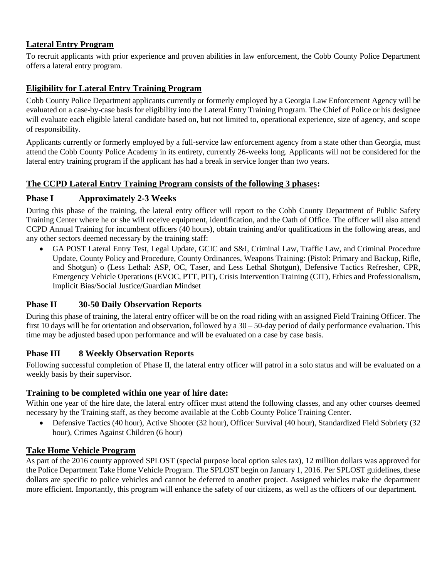### **Lateral Entry Program**

To recruit applicants with prior experience and proven abilities in law enforcement, the Cobb County Police Department offers a lateral entry program.

### **Eligibility for Lateral Entry Training Program**

Cobb County Police Department applicants currently or formerly employed by a Georgia Law Enforcement Agency will be evaluated on a case-by-case basis for eligibility into the Lateral Entry Training Program. The Chief of Police or his designee will evaluate each eligible lateral candidate based on, but not limited to, operational experience, size of agency, and scope of responsibility.

Applicants currently or formerly employed by a full-service law enforcement agency from a state other than Georgia, must attend the Cobb County Police Academy in its entirety, currently 26-weeks long. Applicants will not be considered for the lateral entry training program if the applicant has had a break in service longer than two years.

#### **The CCPD Lateral Entry Training Program consists of the following 3 phases:**

#### **Phase I Approximately 2-3 Weeks**

During this phase of the training, the lateral entry officer will report to the Cobb County Department of Public Safety Training Center where he or she will receive equipment, identification, and the Oath of Office. The officer will also attend CCPD Annual Training for incumbent officers (40 hours), obtain training and/or qualifications in the following areas, and any other sectors deemed necessary by the training staff:

 GA POST Lateral Entry Test, Legal Update, GCIC and S&I, Criminal Law, Traffic Law, and Criminal Procedure Update, County Policy and Procedure, County Ordinances, Weapons Training: (Pistol: Primary and Backup, Rifle, and Shotgun) o (Less Lethal: ASP, OC, Taser, and Less Lethal Shotgun), Defensive Tactics Refresher, CPR, Emergency Vehicle Operations (EVOC, PTT, PIT), Crisis Intervention Training (CIT), Ethics and Professionalism, Implicit Bias/Social Justice/Guardian Mindset

#### **Phase II 30-50 Daily Observation Reports**

During this phase of training, the lateral entry officer will be on the road riding with an assigned Field Training Officer. The first 10 days will be for orientation and observation, followed by a 30 – 50-day period of daily performance evaluation. This time may be adjusted based upon performance and will be evaluated on a case by case basis.

#### **Phase III 8 Weekly Observation Reports**

Following successful completion of Phase II, the lateral entry officer will patrol in a solo status and will be evaluated on a weekly basis by their supervisor.

#### **Training to be completed within one year of hire date:**

Within one year of the hire date, the lateral entry officer must attend the following classes, and any other courses deemed necessary by the Training staff, as they become available at the Cobb County Police Training Center.

 Defensive Tactics (40 hour), Active Shooter (32 hour), Officer Survival (40 hour), Standardized Field Sobriety (32 hour), Crimes Against Children (6 hour)

#### **Take Home Vehicle Program**

As part of the 2016 county approved SPLOST (special purpose local option sales tax), 12 million dollars was approved for the Police Department Take Home Vehicle Program. The SPLOST begin on January 1, 2016. Per SPLOST guidelines, these dollars are specific to police vehicles and cannot be deferred to another project. Assigned vehicles make the department more efficient. Importantly, this program will enhance the safety of our citizens, as well as the officers of our department.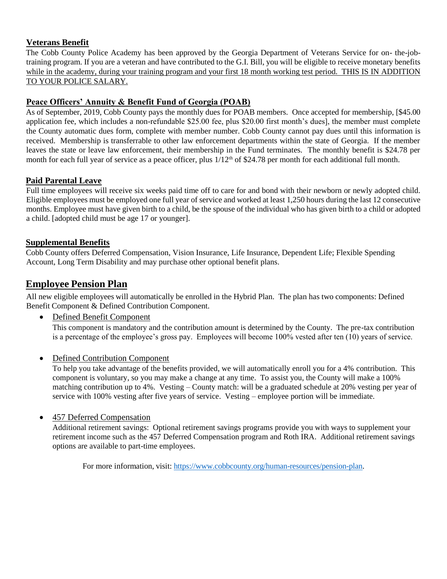#### **Veterans Benefit**

The Cobb County Police Academy has been approved by the Georgia Department of Veterans Service for on- the-jobtraining program. If you are a veteran and have contributed to the G.I. Bill, you will be eligible to receive monetary benefits while in the academy, during your training program and your first 18 month working test period. THIS IS IN ADDITION TO YOUR POLICE SALARY.

#### **Peace Officers' Annuity & Benefit Fund of Georgia (POAB)**

As of September, 2019, Cobb County pays the monthly dues for POAB members. Once accepted for membership, [\$45.00 application fee, which includes a non-refundable \$25.00 fee, plus \$20.00 first month's dues], the member must complete the County automatic dues form, complete with member number. Cobb County cannot pay dues until this information is received. Membership is transferrable to other law enforcement departments within the state of Georgia. If the member leaves the state or leave law enforcement, their membership in the Fund terminates. The monthly benefit is \$24.78 per month for each full year of service as a peace officer, plus  $1/12<sup>th</sup>$  of \$24.78 per month for each additional full month.

#### **Paid Parental Leave**

Full time employees will receive six weeks paid time off to care for and bond with their newborn or newly adopted child. Eligible employees must be employed one full year of service and worked at least 1,250 hours during the last 12 consecutive months. Employee must have given birth to a child, be the spouse of the individual who has given birth to a child or adopted a child. [adopted child must be age 17 or younger].

#### **Supplemental Benefits**

Cobb County offers Deferred Compensation, Vision Insurance, Life Insurance, Dependent Life; Flexible Spending Account, Long Term Disability and may purchase other optional benefit plans.

### **Employee Pension Plan**

All new eligible employees will automatically be enrolled in the Hybrid Plan. The plan has two components: Defined Benefit Component & Defined Contribution Component.

Defined Benefit Component

This component is mandatory and the contribution amount is determined by the County. The pre-tax contribution is a percentage of the employee's gross pay. Employees will become 100% vested after ten (10) years of service.

• Defined Contribution Component

To help you take advantage of the benefits provided, we will automatically enroll you for a 4% contribution. This component is voluntary, so you may make a change at any time. To assist you, the County will make a 100% matching contribution up to 4%. Vesting – County match: will be a graduated schedule at 20% vesting per year of service with 100% vesting after five years of service. Vesting – employee portion will be immediate.

#### 457 Deferred Compensation

Additional retirement savings: Optional retirement savings programs provide you with ways to supplement your retirement income such as the 457 Deferred Compensation program and Roth IRA. Additional retirement savings options are available to part-time employees.

For more information, visit: [https://www.cobbcounty.org/human-resources/pension-plan.](https://www.cobbcounty.org/human-resources/pension-plan)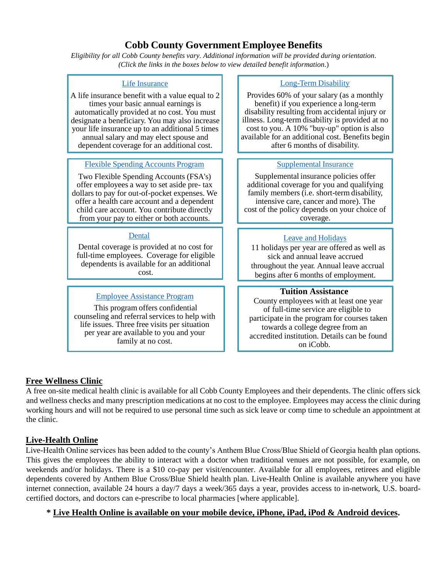## **Cobb County Government Employee Benefits**

*Eligibility for all Cobb County benefits vary. Additional information will be provided during orientation*. *(Click the links in the boxes below to view detailed benefit information*.)

#### Life [Insurance](https://www.cobbcounty.org/human-resources/benefits/life-insurance)

A life insurance benefit with a value equal to 2 times your basic annual earnings is automatically provided at no cost. You must designate a beneficiary. You may also increase your life insurance up to an additional 5 times annual salary and may elect spouse and dependent coverage for an additional cost.

#### Flexible Spending [Accounts](https://www.cobbcounty.org/human-resources/benefits/flexible-spending-account) Program

Two Flexible Spending Accounts (FSA's) offer employees a way to set aside pre- tax dollars to pay for out-of-pocket expenses. We offer a health care account and a dependent child care account. You contribute directly from your pay to either or both accounts.

#### **[Dental](https://www.cobbcounty.org/human-resources/benefits/dental-insurance)**

Dental coverage is provided at no cost for full-time employees. Coverage for eligible dependents is available for an additional cost.

#### [Employee Assistance Program](https://www.cobbcounty.org/human-resources/benefits/employee-assistance-program)

This program offers confidential counseling and referral services to help with life issues. Three free visits per situation per year are available to you and your family at no cost.

#### [Long-Term](https://www.cobbcounty.org/human-resources/benefits/long-term-disability) Disability

Provides 60% of your salary (as a monthly benefit) if you experience a long-term disability resulting from accidental injury or illness. Long-term disability is provided at no cost to you. A 10% "buy-up" option is also available for an additional cost. Benefits begin after 6 months of disability.

#### [Supplemental](https://www.cobbcounty.org/human-resources/benefits/supplemental-benefits) Insurance

Supplemental insurance policies offer additional coverage for you and qualifying family members (i.e. short-term disability, intensive care, cancer and more). The cost of the policy depends on your choice of coverage.

#### [Leave and](https://www.cobbcounty.org/human-resources/benefits/leave) Holidays

 11 holidays per year are offered as well as sick and annual leave accrued throughout the year. Annual leave accrual begins after 6 months of employment.

#### **Tuition Assistance**

 County employees with at least one year of full-time service are eligible to participate in the program for courses taken towards a college degree from an accredited institution. Details can be found on iCobb.

#### **Free Wellness Clinic**

A free on-site medical health clinic is available for all Cobb County Employees and their dependents. The clinic offers sick and wellness checks and many prescription medications at no cost to the employee. Employees may access the clinic during working hours and will not be required to use personal time such as sick leave or comp time to schedule an appointment at the clinic.

#### **Live-Health Online**

Live-Health Online services has been added to the county's Anthem Blue Cross/Blue Shield of Georgia health plan options. This gives the employees the ability to interact with a doctor when traditional venues are not possible, for example, on weekends and/or holidays. There is a \$10 co-pay per visit/encounter. Available for all employees, retirees and eligible dependents covered by Anthem Blue Cross/Blue Shield health plan. Live-Health Online is available anywhere you have internet connection, available 24 hours a day/7 days a week/365 days a year, provides access to in-network, U.S. boardcertified doctors, and doctors can e-prescribe to local pharmacies [where applicable].

#### **\* Live Health Online is available on your mobile device, iPhone, iPad, iPod & Android devices.**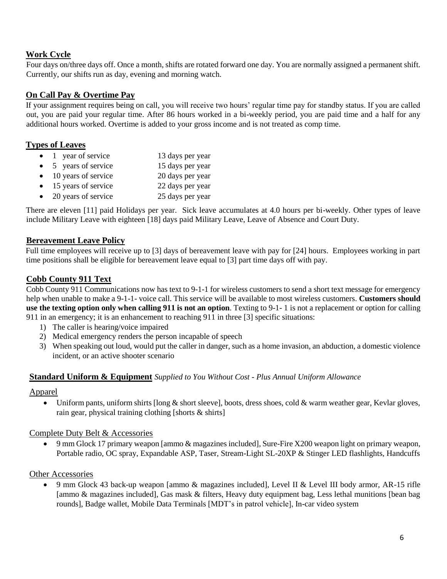#### **Work Cycle**

Four days on/three days off. Once a month, shifts are rotated forward one day. You are normally assigned a permanent shift. Currently, our shifts run as day, evening and morning watch.

#### **On Call Pay & Overtime Pay**

If your assignment requires being on call, you will receive two hours' regular time pay for standby status. If you are called out, you are paid your regular time. After 86 hours worked in a bi-weekly period, you are paid time and a half for any additional hours worked. Overtime is added to your gross income and is not treated as comp time.

#### **Types of Leaves**

- 1 year of service 13 days per year • 5 years of service 15 days per year • 10 years of service 20 days per year • 15 years of service 22 days per year
- 20 years of service 25 days per year

There are eleven [11] paid Holidays per year. Sick leave accumulates at 4.0 hours per bi-weekly. Other types of leave include Military Leave with eighteen [18] days paid Military Leave, Leave of Absence and Court Duty.

#### **Bereavement Leave Policy**

Full time employees will receive up to [3] days of bereavement leave with pay for [24] hours. Employees working in part time positions shall be eligible for bereavement leave equal to [3] part time days off with pay.

#### **Cobb County 911 Text**

Cobb County 911 Communications now has text to 9-1-1 for wireless customers to send a short text message for emergency help when unable to make a 9-1-1- voice call. This service will be available to most wireless customers. **Customers should use the texting option only when calling 911 is not an option**. Texting to 9-1- 1 is not a replacement or option for calling 911 in an emergency; it is an enhancement to reaching 911 in three [3] specific situations:

- 1) The caller is hearing/voice impaired
- 2) Medical emergency renders the person incapable of speech
- 3) When speaking out loud, would put the caller in danger, such as a home invasion, an abduction, a domestic violence incident, or an active shooter scenario

#### **Standard Uniform & Equipment** *Supplied to You Without Cost - Plus Annual Uniform Allowance*

#### Apparel

 $\bullet$  Uniform pants, uniform shirts [long & short sleeve], boots, dress shoes, cold & warm weather gear, Kevlar gloves, rain gear, physical training clothing [shorts & shirts]

#### Complete Duty Belt & Accessories

 9 mm Glock 17 primary weapon [ammo & magazines included], Sure-Fire X200 weapon light on primary weapon, Portable radio, OC spray, Expandable ASP, Taser, Stream-Light SL-20XP & Stinger LED flashlights, Handcuffs

#### Other Accessories

 9 mm Glock 43 back-up weapon [ammo & magazines included], Level II & Level III body armor, AR-15 rifle [ammo & magazines included], Gas mask & filters, Heavy duty equipment bag, Less lethal munitions [bean bag rounds], Badge wallet, Mobile Data Terminals [MDT's in patrol vehicle], In-car video system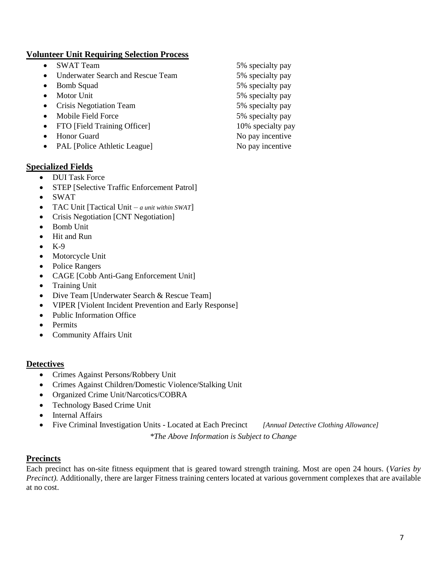#### **Volunteer Unit Requiring Selection Process**

- SWAT Team 5% specialty pay
- Underwater Search and Rescue Team 5% specialty pay
- Bomb Squad 5% specialty pay
- 
- Crisis Negotiation Team 5% specialty pay
- Mobile Field Force 5% specialty pay
- FTO [Field Training Officer] 10% specialty pay
- Honor Guard No pay incentive
- PAL [Police Athletic League] No pay incentive

#### **Specialized Fields**

- DUI Task Force
- STEP [Selective Traffic Enforcement Patrol]
- SWAT
- TAC Unit [Tactical Unit *a unit within SWAT*]
- Crisis Negotiation [CNT Negotiation]
- Bomb Unit
- Hit and Run
- K-9
- Motorcycle Unit
- Police Rangers
- CAGE [Cobb Anti-Gang Enforcement Unit]
- Training Unit
- Dive Team [Underwater Search & Rescue Team]
- VIPER [Violent Incident Prevention and Early Response]
- Public Information Office
- Permits
- Community Affairs Unit

#### **Detectives**

- Crimes Against Persons/Robbery Unit
- Crimes Against Children/Domestic Violence/Stalking Unit
- Organized Crime Unit/Narcotics/COBRA
- Technology Based Crime Unit
- Internal Affairs
- Five Criminal Investigation Units Located at Each Precinct *[Annual Detective Clothing Allowance]*

*\*The Above Information is Subject to Change*

#### **Precincts**

Each precinct has on-site fitness equipment that is geared toward strength training. Most are open 24 hours. (*Varies by Precinct*). Additionally, there are larger Fitness training centers located at various government complexes that are available at no cost.

• Motor Unit 5% specialty pay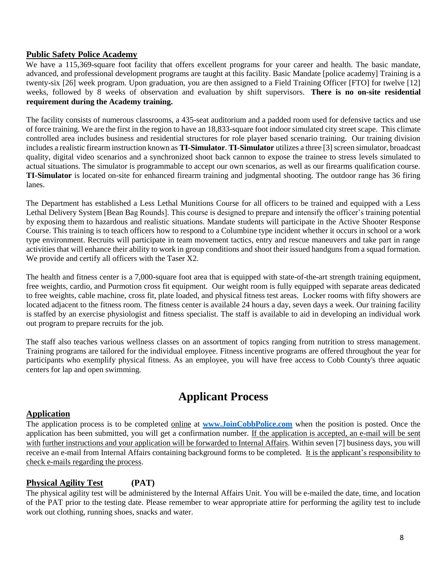#### **Public Safety Police Academy**

We have a 115,369-square foot facility that offers excellent programs for your career and health. The basic mandate, advanced, and professional development programs are taught at this facility. Basic Mandate [police academy] Training is a twenty-six [26] week program. Upon graduation, you are then assigned to a Field Training Officer [FTO] for twelve [12] weeks, followed by 8 weeks of observation and evaluation by shift supervisors. **There is no on-site residential requirement during the Academy training.**

The facility consists of numerous classrooms, a 435-seat auditorium and a padded room used for defensive tactics and use of force training. We are the first in the region to have an 18,833-square foot indoor simulated city street scape. This climate controlled area includes business and residential structures for role player based scenario training. Our training division includes a realistic firearm instruction known as **TI-Simulator**. **TI-Simulator** utilizes a three [3] screen simulator, broadcast quality, digital video scenarios and a synchronized shoot back cannon to expose the trainee to stress levels simulated to actual situations. The simulator is programmable to accept our own scenarios, as well as our firearms qualification course. **TI-Simulator** is located on-site for enhanced firearm training and judgmental shooting. The outdoor range has 36 firing lanes.

The Department has established a Less Lethal Munitions Course for all officers to be trained and equipped with a Less Lethal Delivery System [Bean Bag Rounds]. This course is designed to prepare and intensify the officer's training potential by exposing them to hazardous and realistic situations. Mandate students will participate in the Active Shooter Response Course. This training is to teach officers how to respond to a Columbine type incident whether it occurs in school or a work type environment. Recruits will participate in team movement tactics, entry and rescue maneuvers and take part in range activities that will enhance their ability to work in group conditions and shoot their issued handguns from a squad formation. We provide and certify all officers with the Taser X2.

The health and fitness center is a 7,000-square foot area that is equipped with state-of-the-art strength training equipment, free weights, cardio, and Purmotion cross fit equipment. Our weight room is fully equipped with separate areas dedicated to free weights, cable machine, cross fit, plate loaded, and physical fitness test areas. Locker rooms with fifty showers are located adjacent to the fitness room. The fitness center is available 24 hours a day, seven days a week. Our training facility is staffed by an exercise physiologist and fitness specialist. The staff is available to aid in developing an individual work out program to prepare recruits for the job.

The staff also teaches various wellness classes on an assortment of topics ranging from nutrition to stress management. Training programs are tailored for the individual employee. Fitness incentive programs are offered throughout the year for participants who exemplify physical fitness. As an employee, you will have free access to Cobb County's three aquatic centers for lap and open swimming.

# **Applicant Process**

#### **Application**

The application process is to be completed online at **[www.JoinCobbPolice.com](http://www.joincobbpolice.com/)** when the position is posted. Once the application has been submitted, you will get a confirmation number. If the application is accepted, an e-mail will be sent with further instructions and your application will be forwarded to Internal Affairs. Within seven [7] business days, you will receive an e-mail from Internal Affairs containing background forms to be completed. It is the applicant's responsibility to check e-mails regarding the process.

#### **Physical Agility Test (PAT)**

The physical agility test will be administered by the Internal Affairs Unit. You will be e-mailed the date, time, and location of the PAT prior to the testing date. Please remember to wear appropriate attire for performing the agility test to include work out clothing, running shoes, snacks and water.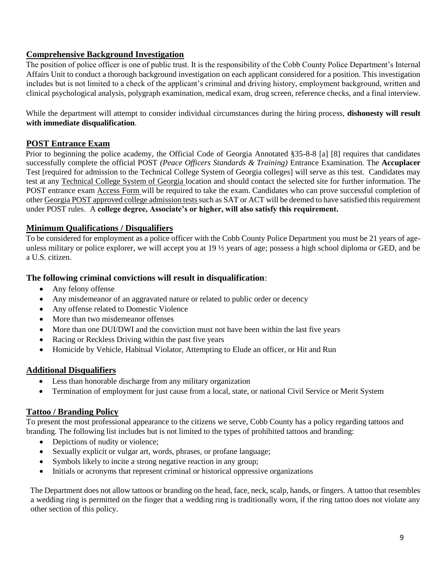#### **Comprehensive Background Investigation**

The position of police officer is one of public trust. It is the responsibility of the Cobb County Police Department's Internal Affairs Unit to conduct a thorough background investigation on each applicant considered for a position. This investigation includes but is not limited to a check of the applicant's criminal and driving history, employment background, written and clinical psychological analysis, polygraph examination, medical exam, drug screen, reference checks, and a final interview.

While the department will attempt to consider individual circumstances during the hiring process, **dishonesty will result with immediate disqualification**.

#### **POST Entrance Exam**

Prior to beginning the police academy, the Official Code of Georgia Annotated §35-8-8 [a] [8] requires that candidates successfully complete the official POST *(Peace Officers Standards & Training)* Entrance Examination. The **Accuplacer**  Test [required for admission to the Technical College System of Georgia colleges] will serve as this test. Candidates may test at any Technical College System of Georgia location and should contact the selected site for further information. The POST entrance exam Access Form will be required to take the exam. Candidates who can prove successful completion of other Georgia POST approved college admission tests such as SAT or ACT will be deemed to have satisfied this requirement under POST rules. A **college degree, Associate's or higher, will also satisfy this requirement.**

#### **Minimum Qualifications / Disqualifiers**

To be considered for employment as a police officer with the Cobb County Police Department you must be 21 years of ageunless military or police explorer, we will accept you at 19 ½ years of age; possess a high school diploma or GED, and be a U.S. citizen.

#### **The following criminal convictions will result in disqualification**:

- Any felony offense
- Any misdemeanor of an aggravated nature or related to public order or decency
- Any offense related to Domestic Violence
- More than two misdemeanor offenses
- More than one DUI/DWI and the conviction must not have been within the last five years
- Racing or Reckless Driving within the past five years
- Homicide by Vehicle, Habitual Violator, Attempting to Elude an officer, or Hit and Run

#### **Additional Disqualifiers**

- Less than honorable discharge from any military organization
- Termination of employment for just cause from a local, state, or national Civil Service or Merit System

#### **Tattoo / Branding Policy**

To present the most professional appearance to the citizens we serve, Cobb County has a policy regarding tattoos and branding. The following list includes but is not limited to the types of prohibited tattoos and branding:

- Depictions of nudity or violence;
- Sexually explicit or vulgar art, words, phrases, or profane language;
- Symbols likely to incite a strong negative reaction in any group;
- Initials or acronyms that represent criminal or historical oppressive organizations

The Department does not allow tattoos or branding on the head, face, neck, scalp, hands, or fingers. A tattoo that resembles a wedding ring is permitted on the finger that a wedding ring is traditionally worn, if the ring tattoo does not violate any other section of this policy.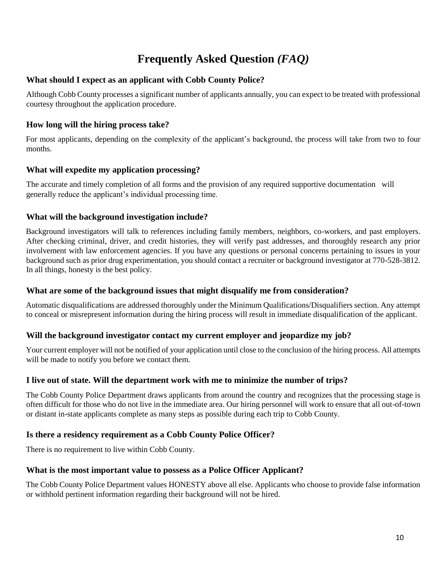# **Frequently Asked Question** *(FAQ)*

#### **What should I expect as an applicant with Cobb County Police?**

Although Cobb County processes a significant number of applicants annually, you can expect to be treated with professional courtesy throughout the application procedure.

#### **How long will the hiring process take?**

For most applicants, depending on the complexity of the applicant's background, the process will take from two to four months.

#### **What will expedite my application processing?**

The accurate and timely completion of all forms and the provision of any required supportive documentation will generally reduce the applicant's individual processing time.

#### **What will the background investigation include?**

Background investigators will talk to references including family members, neighbors, co-workers, and past employers. After checking criminal, driver, and credit histories, they will verify past addresses, and thoroughly research any prior involvement with law enforcement agencies. If you have any questions or personal concerns pertaining to issues in your background such as prior drug experimentation, you should contact a recruiter or background investigator at 770-528-3812. In all things, honesty is the best policy.

#### **What are some of the background issues that might disqualify me from consideration?**

Automatic disqualifications are addressed thoroughly under the Minimum Qualifications/Disqualifiers section. Any attempt to conceal or misrepresent information during the hiring process will result in immediate disqualification of the applicant.

#### **Will the background investigator contact my current employer and jeopardize my job?**

Your current employer will not be notified of your application until close to the conclusion of the hiring process. All attempts will be made to notify you before we contact them.

#### **I live out of state. Will the department work with me to minimize the number of trips?**

The Cobb County Police Department draws applicants from around the country and recognizes that the processing stage is often difficult for those who do not live in the immediate area. Our hiring personnel will work to ensure that all out-of-town or distant in-state applicants complete as many steps as possible during each trip to Cobb County.

#### **Is there a residency requirement as a Cobb County Police Officer?**

There is no requirement to live within Cobb County.

#### **What is the most important value to possess as a Police Officer Applicant?**

The Cobb County Police Department values HONESTY above all else. Applicants who choose to provide false information or withhold pertinent information regarding their background will not be hired.